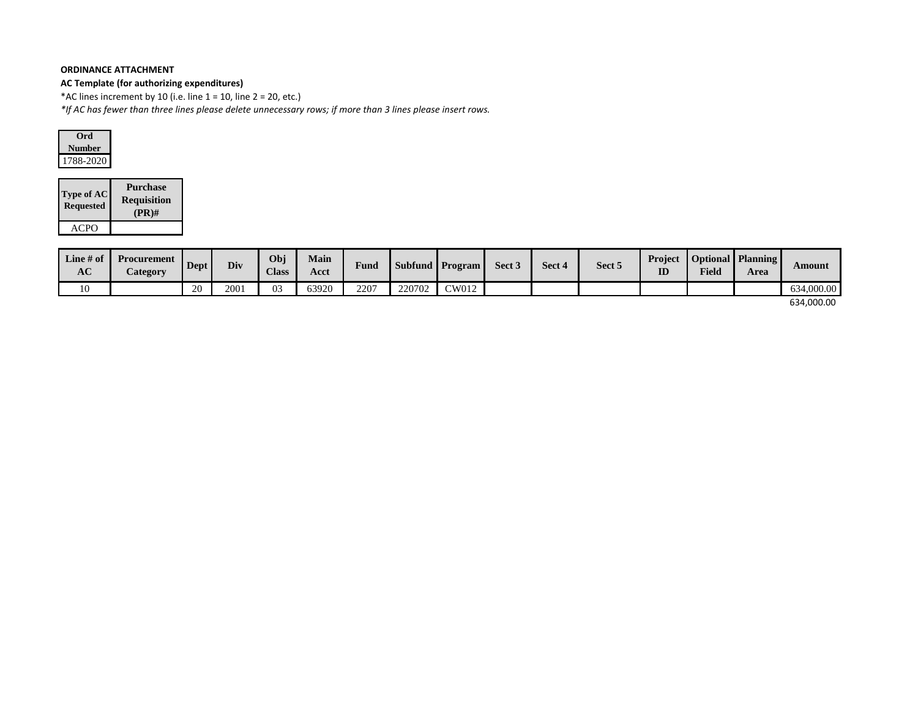# **AC Template (for authorizing expenditures)**

\*AC lines increment by 10 (i.e. line  $1 = 10$ , line  $2 = 20$ , etc.)

*\*If AC has fewer than three lines please delete unnecessary rows; if more than 3 lines please insert rows.*



| <b>Type of AC</b><br><b>Requested</b> | <b>Purchase</b><br><b>Requisition</b><br>$(PR)$ # |
|---------------------------------------|---------------------------------------------------|
| ACPO                                  |                                                   |

| Line $#$ of<br><b>AC</b> | Procurement<br><b>Category</b> | <b>Dept</b> | Div  | Obj<br><b>Class</b> | <b>Main</b><br>Acct | <b>Fund</b> |        | Subfund Program | Sect 3 | Sect 4 | Sect 5 | Project<br>ID | <b>Field</b> | <b>Optional Planning</b><br>Area | Amount     |
|--------------------------|--------------------------------|-------------|------|---------------------|---------------------|-------------|--------|-----------------|--------|--------|--------|---------------|--------------|----------------------------------|------------|
| 10                       |                                | 20          | 2001 | 03                  | 63920               | 2207        | 220702 | $\gamma$ W012   |        |        |        |               |              |                                  | 634,000.00 |
|                          |                                |             |      |                     |                     |             |        |                 |        |        |        |               |              |                                  | .          |

634,000.00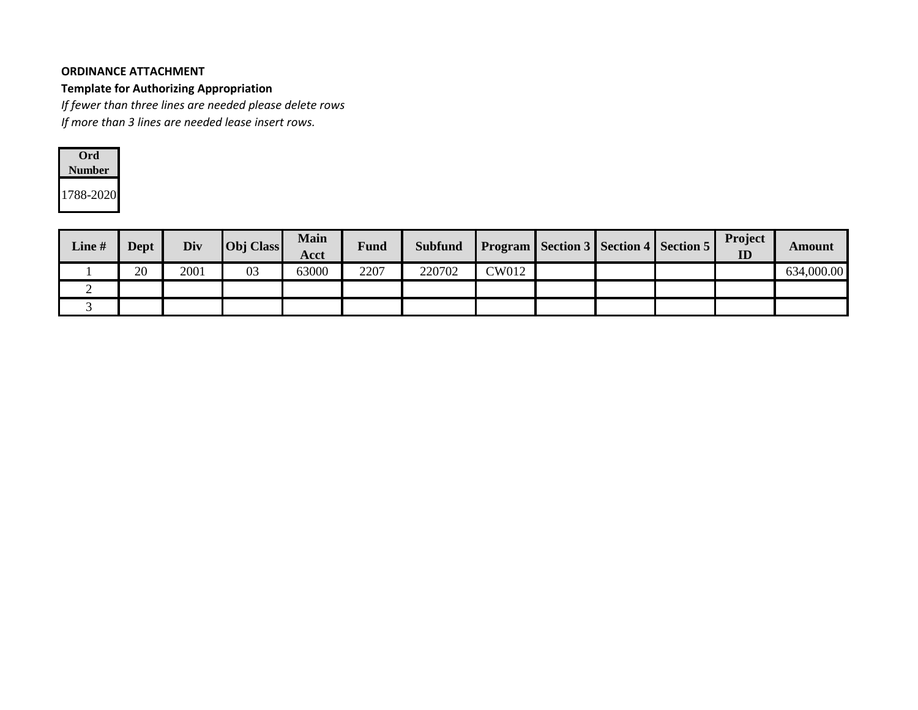#### **Template for Authorizing Appropriation**

*If fewer than three lines are needed please delete rows*

*If more than 3 lines are needed lease insert rows.*

| Ord)      |
|-----------|
| Number    |
| 1788-2020 |

| Line # | <b>Dept</b> | Div  | Obj Class | <b>Main</b><br>Acct | Fund | <b>Subfund</b> |              |  | <b>Program Section 3 Section 4 Section 5</b> | Project<br>ID | Amount     |
|--------|-------------|------|-----------|---------------------|------|----------------|--------------|--|----------------------------------------------|---------------|------------|
|        | 20          | 2001 | 03        | 63000               | 2207 | 220702         | <b>CW012</b> |  |                                              |               | 634,000.00 |
|        |             |      |           |                     |      |                |              |  |                                              |               |            |
|        |             |      |           |                     |      |                |              |  |                                              |               |            |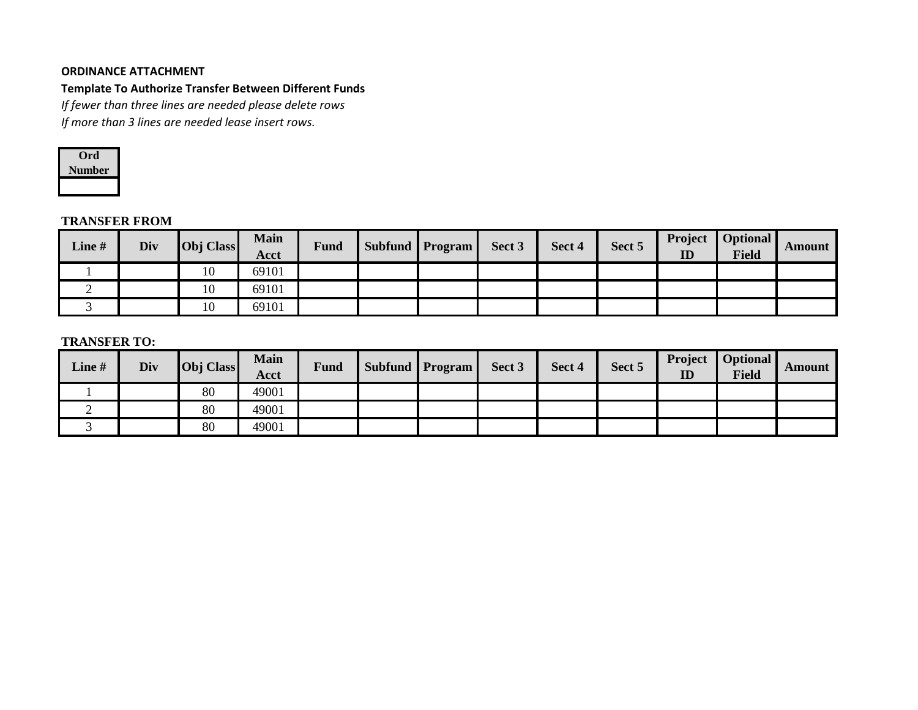### **Template To Authorize Transfer Between Different Funds**

*If fewer than three lines are needed please delete rows*

*If more than 3 lines are needed lease insert rows.*



### **TRANSFER FROM**

| Line # | Div | <b>Obj</b> Class | <b>Main</b><br><b>Acct</b> | <b>Fund</b> | <b>Subfund Program</b> | Sect 3 | Sect 4 | Sect 5 | Project<br>ID | Optional  <br>Field | Amount |
|--------|-----|------------------|----------------------------|-------------|------------------------|--------|--------|--------|---------------|---------------------|--------|
|        |     | 10               | 69101                      |             |                        |        |        |        |               |                     |        |
| ∼      |     | 10               | 69101                      |             |                        |        |        |        |               |                     |        |
|        |     | 10               | 69101                      |             |                        |        |        |        |               |                     |        |

## **TRANSFER TO:**

| Line # | Div | Obj Class | <b>Main</b><br>Acct | <b>Fund</b> | <b>Subfund Program</b> | Sect 3 | Sect 4 | Sect 5 | Project<br>ID | Optional<br>Field | <b>Amount</b> |
|--------|-----|-----------|---------------------|-------------|------------------------|--------|--------|--------|---------------|-------------------|---------------|
|        |     | 80        | 49001               |             |                        |        |        |        |               |                   |               |
| ∼      |     | 80        | 49001               |             |                        |        |        |        |               |                   |               |
|        |     | 80        | 49001               |             |                        |        |        |        |               |                   |               |